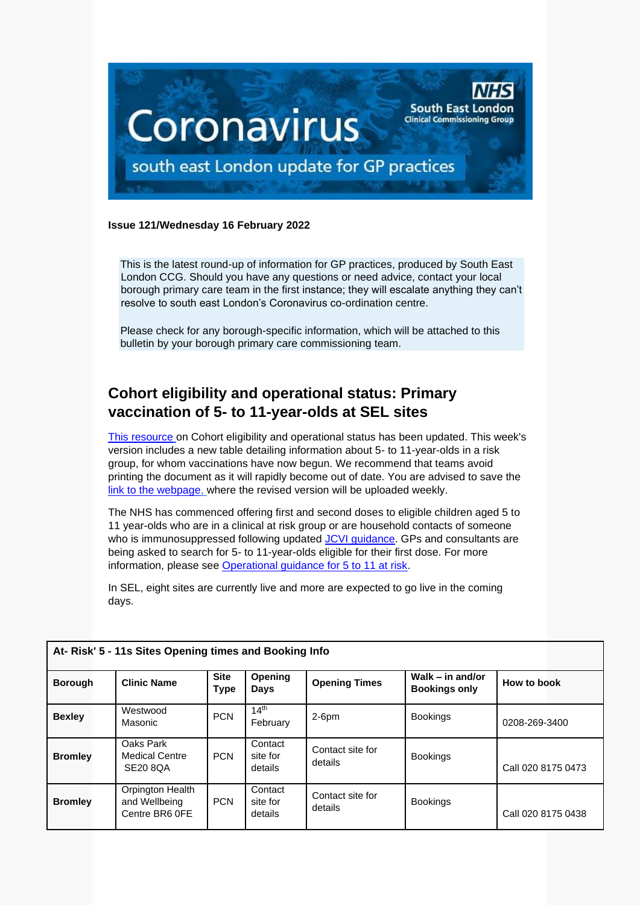

#### **Issue 121/Wednesday 16 February 2022**

This is the latest round-up of information for GP practices, produced by South East London CCG. Should you have any questions or need advice, contact your local borough primary care team in the first instance; they will escalate anything they can't resolve to south east London's Coronavirus co-ordination centre.

Please check for any borough-specific information, which will be attached to this bulletin by your borough primary care commissioning team.

# **Cohort eligibility and operational status: Primary vaccination of 5- to 11-year-olds at SEL sites**

[This resource](https://future.nhs.uk/CovidVaccinations/view?objectId=31770448) on Cohort eligibility and operational status has been updated. This week's version includes a new table detailing information about 5- to 11-year-olds in a risk group, for whom vaccinations have now begun. We recommend that teams avoid printing the document as it will rapidly become out of date. You are advised to save the [link to the webpage,](https://future.nhs.uk/CovidVaccinations/view?objectId=31770448) where the revised version will be uploaded weekly.

The NHS has commenced offering first and second doses to eligible children aged 5 to 11 year-olds who are in a clinical at risk group or are household contacts of someone who is immunosuppressed following updated [JCVI guidance.](https://www.gov.uk/government/publications/jcvi-update-on-advice-for-covid-19-vaccination-of-children-and-young-people) GPs and consultants are being asked to search for 5- to 11-year-olds eligible for their first dose. For more information, please see [Operational guidance for 5 to 11 at risk.](https://future.nhs.uk/P_C_N/view?objectId=122527909)

In SEL, eight sites are currently live and more are expected to go live in the coming days.

| At-Risk' 5 - 11s Sites Opening times and Booking Info |                                                       |                     |                                |                             |                                            |                    |  |  |  |
|-------------------------------------------------------|-------------------------------------------------------|---------------------|--------------------------------|-----------------------------|--------------------------------------------|--------------------|--|--|--|
| <b>Borough</b>                                        | <b>Clinic Name</b>                                    | <b>Site</b><br>Type | <b>Opening</b><br>Days         | <b>Opening Times</b>        | Walk $-$ in and/or<br><b>Bookings only</b> | How to book        |  |  |  |
| <b>Bexley</b>                                         | Westwood<br>Masonic                                   | <b>PCN</b>          | 14 <sup>th</sup><br>February   | $2-6$ pm                    | <b>Bookings</b>                            | 0208-269-3400      |  |  |  |
| <b>Bromley</b>                                        | Oaks Park<br><b>Medical Centre</b><br><b>SE20 8QA</b> | <b>PCN</b>          | Contact<br>site for<br>details | Contact site for<br>details | <b>Bookings</b>                            | Call 020 8175 0473 |  |  |  |
| <b>Bromley</b>                                        | Orpington Health<br>and Wellbeing<br>Centre BR6 OFE   | <b>PCN</b>          | Contact<br>site for<br>details | Contact site for<br>details | <b>Bookings</b>                            | Call 020 8175 0438 |  |  |  |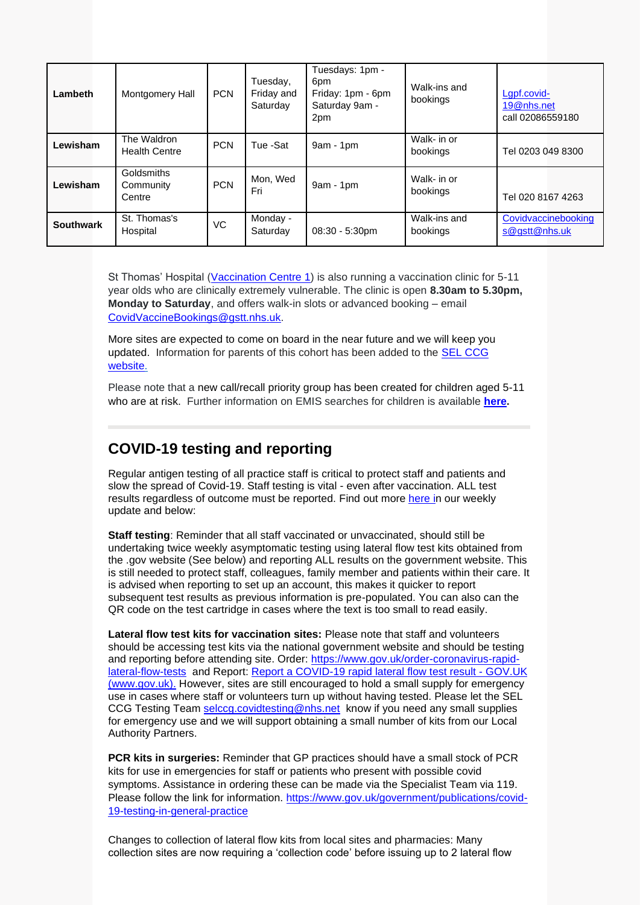| Lambeth          | Montgomery Hall                     | <b>PCN</b> | Tuesday,<br>Friday and<br>Saturday | Tuesdays: 1pm -<br>6 <sub>pm</sub><br>Friday: 1pm - 6pm<br>Saturday 9am -<br>2pm | Walk-ins and<br>bookings | Lgpf.covid-<br>19@nhs.net<br>call 02086559180 |
|------------------|-------------------------------------|------------|------------------------------------|----------------------------------------------------------------------------------|--------------------------|-----------------------------------------------|
| Lewisham         | The Waldron<br><b>Health Centre</b> | <b>PCN</b> | Tue -Sat                           | $9am - 1pm$                                                                      | Walk- in or<br>bookings  | Tel 0203 049 8300                             |
| Lewisham         | Goldsmiths<br>Community<br>Centre   | <b>PCN</b> | Mon, Wed<br>Fri                    | $9am - 1pm$                                                                      | Walk- in or<br>bookings  | Tel 020 8167 4263                             |
| <b>Southwark</b> | St. Thomas's<br>Hospital            | VC         | Monday -<br>Saturday               | $08:30 - 5:30$ pm                                                                | Walk-ins and<br>bookings | Covidvaccinebooking<br>s@gstt@nhs.uk          |

St Thomas' Hospital [\(Vaccination Centre 1\)](https://scanmail.trustwave.com/?c=8248&d=iN-D4lmsSlhbL7diPP1g7rahv1IRh3ar6zyAmg1Y9A&u=https%3a%2f%2fwww%2eguysandstthomas%2enhs%2euk%2fimages%2fm%2fmaps%2fhospital-maps%2f20170104-st-thomas-map%2ejpg) is also running a vaccination clinic for 5-11 year olds who are clinically extremely vulnerable. The clinic is open **8.30am to 5.30pm, Monday to Saturday**, and offers walk-in slots or advanced booking – email [CovidVaccineBookings@gstt.nhs.uk.](mailto:CovidVaccineBookings@gstt.nhs.uk)

More sites are expected to come on board in the near future and we will keep you updated. Information for parents of this cohort has been added to the [SEL CCG](https://selondonccg.nhs.uk/what-we-do/covid-19/covid-19-vaccine/pop-up-clinics/vaccinations-for-at-risk-5-11-year-olds/)  [website.](https://selondonccg.nhs.uk/what-we-do/covid-19/covid-19-vaccine/pop-up-clinics/vaccinations-for-at-risk-5-11-year-olds/)

Please note that a new call/recall priority group has been created for children aged 5-11 who are at risk. Further information on EMIS searches for children is available **[here.](https://selondonccg.nhs.uk/wp-content/uploads/2022/02/EMIS-search.pdf)**

# **COVID-19 testing and reporting**

Regular antigen testing of all practice staff is critical to protect staff and patients and slow the spread of Covid-19. Staff testing is vital - even after vaccination. ALL test results regardless of outcome must be reported. Find out more [here](https://selondonccg.nhs.uk/wp-content/uploads/2022/02/Key-messages-for-GP-Bulletin-11-February-2022.pdf) in our weekly update and below:

**Staff testing**: Reminder that all staff vaccinated or unvaccinated, should still be undertaking twice weekly asymptomatic testing using lateral flow test kits obtained from the .gov website (See below) and reporting ALL results on the government website. This is still needed to protect staff, colleagues, family member and patients within their care. It is advised when reporting to set up an account, this makes it quicker to report subsequent test results as previous information is pre-populated. You can also can the QR code on the test cartridge in cases where the text is too small to read easily.

**Lateral flow test kits for vaccination sites:** Please note that staff and volunteers should be accessing test kits via the national government website and should be testing and reporting before attending site. Order: [https://www.gov.uk/order-coronavirus-rapid](https://www.gov.uk/order-coronavirus-rapid-lateral-flow-tests)[lateral-flow-tests](https://www.gov.uk/order-coronavirus-rapid-lateral-flow-tests) and Report: [Report a COVID-19 rapid lateral flow test result -](https://www.gov.uk/report-covid19-result) GOV.UK [\(www.gov.uk\).](https://www.gov.uk/report-covid19-result) However, sites are still encouraged to hold a small supply for emergency use in cases where staff or volunteers turn up without having tested. Please let the SEL CCG Testing Team [selccg.covidtesting@nhs.net](mailto:selccg.covidtesting@nhs.net) know if you need any small supplies for emergency use and we will support obtaining a small number of kits from our Local Authority Partners.

**PCR kits in surgeries:** Reminder that GP practices should have a small stock of PCR kits for use in emergencies for staff or patients who present with possible covid symptoms. Assistance in ordering these can be made via the Specialist Team via 119. Please follow the link for information. [https://www.gov.uk/government/publications/covid-](https://www.gov.uk/government/publications/covid-19-testing-in-general-practice)[19-testing-in-general-practice](https://www.gov.uk/government/publications/covid-19-testing-in-general-practice)

Changes to collection of lateral flow kits from local sites and pharmacies: Many collection sites are now requiring a 'collection code' before issuing up to 2 lateral flow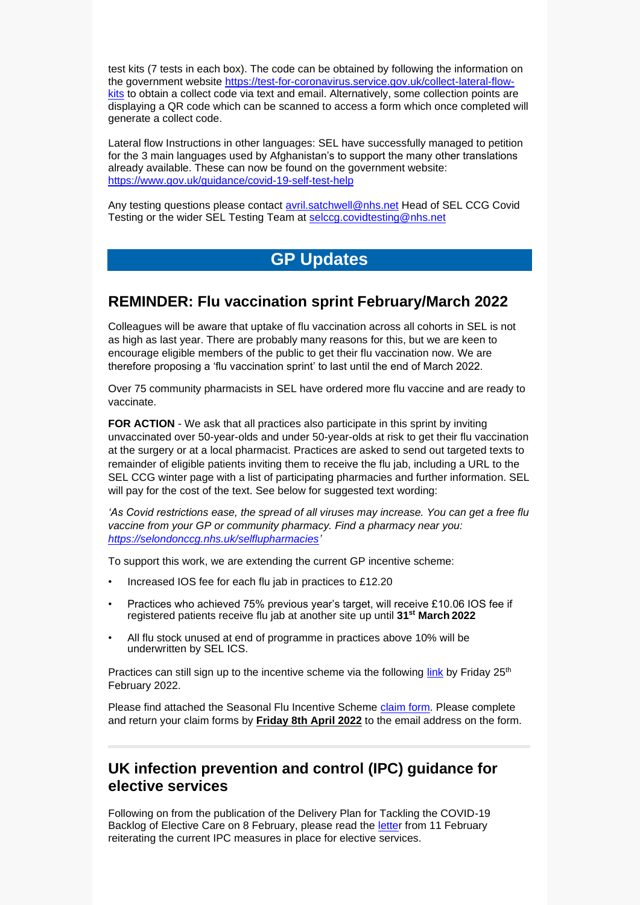test kits (7 tests in each box). The code can be obtained by following the information on the government website [https://test-for-coronavirus.service.gov.uk/collect-lateral-flow](https://test-for-coronavirus.service.gov.uk/collect-lateral-flow-kits)[kits](https://test-for-coronavirus.service.gov.uk/collect-lateral-flow-kits) to obtain a collect code via text and email. Alternatively, some collection points are displaying a QR code which can be scanned to access a form which once completed will generate a collect code.

Lateral flow Instructions in other languages: SEL have successfully managed to petition for the 3 main languages used by Afghanistan's to support the many other translations already available. These can now be found on the government website: <https://www.gov.uk/guidance/covid-19-self-test-help>

Any testing questions please contact [avril.satchwell@nhs.net](mailto:avril.satchwell@nhs.net) Head of SEL CCG Covid Testing or the wider SEL Testing Team at [selccg.covidtesting@nhs.net](mailto:selccg.covidtesting@nhs.net)

# **GP Updates**

#### **REMINDER: Flu vaccination sprint February/March 2022**

Colleagues will be aware that uptake of flu vaccination across all cohorts in SEL is not as high as last year. There are probably many reasons for this, but we are keen to encourage eligible members of the public to get their flu vaccination now. We are therefore proposing a 'flu vaccination sprint' to last until the end of March 2022.

Over 75 community pharmacists in SEL have ordered more flu vaccine and are ready to vaccinate.

**FOR ACTION** - We ask that all practices also participate in this sprint by inviting unvaccinated over 50-year-olds and under 50-year-olds at risk to get their flu vaccination at the surgery or at a local pharmacist. Practices are asked to send out targeted texts to remainder of eligible patients inviting them to receive the flu jab, including a URL to the SEL CCG winter page with a list of participating pharmacies and further information. SEL will pay for the cost of the text. See below for suggested text wording:

*'As Covid restrictions ease, the spread of all viruses may increase. You can get a free flu vaccine from your GP or community pharmacy. Find a pharmacy near you: [https://selondonccg.nhs.uk/selflupharmacies'](https://selondonccg.nhs.uk/selflupharmacies)*

To support this work, we are extending the current GP incentive scheme:

- Increased IOS fee for each flu jab in practices to £12.20
- Practices who achieved 75% previous year's target, will receive £10.06 IOS fee if registered patients receive flu jab at another site up until **31st March 2022**
- All flu stock unused at end of programme in practices above 10% will be underwritten by SEL ICS.

Practices can still sign up to the incentive scheme via the following [link](https://forms.office.com/pages/responsepage.aspx?id=oZ5z9bnEj0uUivN-RCh6VNbdHhHvYaFPtcoTKdkfZkZUOTFSSExKMVdERjdST0oxOUNBUEtWRjJZRS4u&web=1&wdLOR=cB7EDE88B-A598-4259-89AB-7547A5C3B8AF) by Friday  $25<sup>th</sup>$ February 2022.

Please find attached the Seasonal Flu Incentive Scheme [claim form.](https://selondonccg.nhs.uk/wp-content/uploads/2022/02/Copy-of-2021-22-Flu-LIS-claim-form-Final.xlsx) Please complete and return your claim forms by **Friday 8th April 2022** to the email address on the form.

#### **UK infection prevention and control (IPC) guidance for elective services**

Following on from the publication of the Delivery Plan for Tackling the COVID-19 Backlog of Elective Care on 8 February, please read the [letter](https://www.england.nhs.uk/coronavirus/wp-content/uploads/sites/52/2022/02/C1587-uk-ipc-guidance-for-elective-services.pdf) from 11 February reiterating the current IPC measures in place for elective services.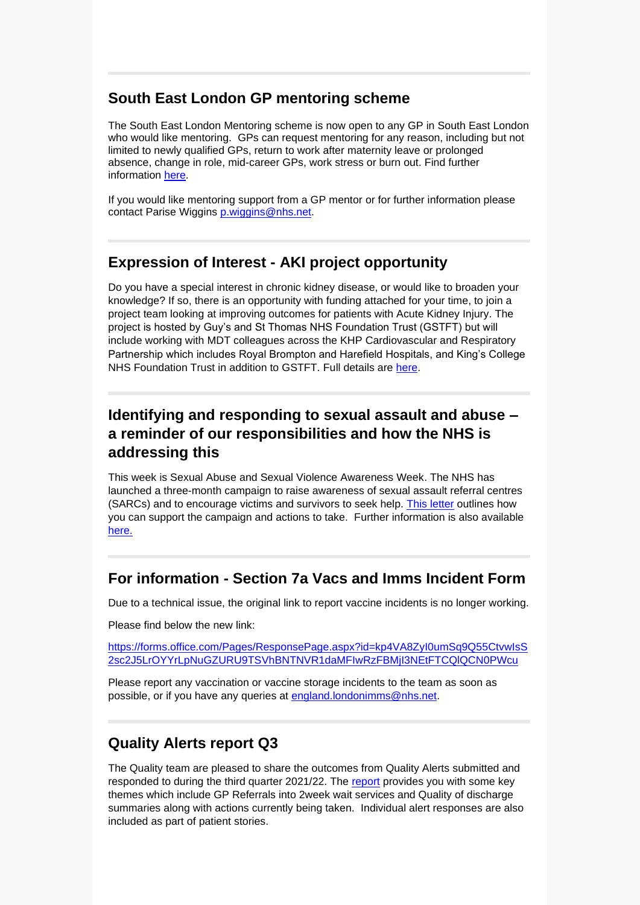# **South East London GP mentoring scheme**

The South East London Mentoring scheme is now open to any GP in South East London who would like mentoring. GPs can request mentoring for any reason, including but not limited to newly qualified GPs, return to work after maternity leave or prolonged absence, change in role, mid-career GPs, work stress or burn out. Find further information [here.](https://selondonccg.nhs.uk/wp-content/uploads/2022/02/GP-Mentoring.pdf)

If you would like mentoring support from a GP mentor or for further information please contact Parise Wiggins [p.wiggins@nhs.net.](mailto:p.wiggins@nhs.net)

## **Expression of Interest - AKI project opportunity**

Do you have a special interest in chronic kidney disease, or would like to broaden your knowledge? If so, there is an opportunity with funding attached for your time, to join a project team looking at improving outcomes for patients with Acute Kidney Injury. The project is hosted by Guy's and St Thomas NHS Foundation Trust (GSTFT) but will include working with MDT colleagues across the KHP Cardiovascular and Respiratory Partnership which includes Royal Brompton and Harefield Hospitals, and King's College NHS Foundation Trust in addition to GSTFT. Full details are [here.](https://selondonccg.nhs.uk/wp-content/uploads/2022/02/Expression-of-Interest-Form-Primary-Care-Representative-vfinal.docx)

# **Identifying and responding to sexual assault and abuse – a reminder of our responsibilities and how the NHS is addressing this**

This week is Sexual Abuse and Sexual Violence Awareness Week. The NHS has launched a three-month campaign to raise awareness of sexual assault referral centres (SARCs) and to encourage victims and survivors to seek help. This [letter](https://selondonccg.nhs.uk/wp-content/uploads/2022/02/B1360_Identifying-and-responding-to-sexual-assault-and-abuse-a-reminder-of-our-responsibilities-and-how-the-NHS-is-addressing-this_110222.pdf) outlines how you can support the campaign and actions to take. Further information is also available [here.](https://www.england.nhs.uk/commissioning/health-just/sexual-assault-and-abuse/)

## **For information - Section 7a Vacs and Imms Incident Form**

Due to a technical issue, the original link to report vaccine incidents is no longer working.

Please find below the new link:

[https://forms.office.com/Pages/ResponsePage.aspx?id=kp4VA8ZyI0umSq9Q55CtvwIsS](https://forms.office.com/Pages/ResponsePage.aspx?id=kp4VA8ZyI0umSq9Q55CtvwIsS2sc2J5LrOYYrLpNuGZURU9TSVhBNTNVR1daMFIwRzFBMjI3NEtFTCQlQCN0PWcu) [2sc2J5LrOYYrLpNuGZURU9TSVhBNTNVR1daMFIwRzFBMjI3NEtFTCQlQCN0PWcu](https://forms.office.com/Pages/ResponsePage.aspx?id=kp4VA8ZyI0umSq9Q55CtvwIsS2sc2J5LrOYYrLpNuGZURU9TSVhBNTNVR1daMFIwRzFBMjI3NEtFTCQlQCN0PWcu)

Please report any vaccination or vaccine storage incidents to the team as soon as possible, or if you have any queries at [england.londonimms@nhs.net.](mailto:england.londonimms@nhs.net)

# **Quality Alerts report Q3**

The Quality team are pleased to share the outcomes from Quality Alerts submitted and responded to during the third quarter 2021/22. The [report](https://selondonccg.nhs.uk/wp-content/uploads/2022/02/Quality-Alets-in-Q3-2122-Report.pdf) provides you with some key themes which include GP Referrals into 2week wait services and Quality of discharge summaries along with actions currently being taken. Individual alert responses are also included as part of patient stories.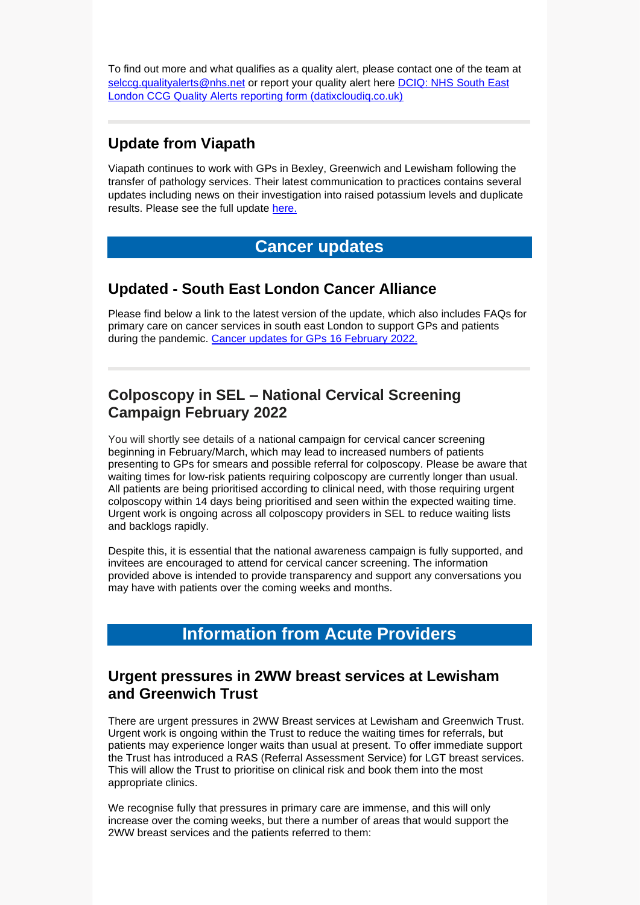To find out more and what qualifies as a quality alert, please contact one of the team at [selccg.qualityalerts@nhs.net](mailto:selccg.qualityalerts@nhs.net) or report your quality alert here DCIQ: NHS South East [London CCG Quality Alerts reporting form \(datixcloudiq.co.uk\)](https://selccg.gateway.prod-uk.datixcloudiq.co.uk/capture/?form_id=2&module=INC)

### **Update from Viapath**

Viapath continues to work with GPs in Bexley, Greenwich and Lewisham following the transfer of pathology services. Their latest communication to practices contains several updates including news on their investigation into raised potassium levels and duplicate results. Please see the full update [here.](https://selondonccg.nhs.uk/wp-content/uploads/2022/02/Viapath-GP-update-11-Feb-22.pdf)

# **Cancer updates**

#### **Updated - South East London Cancer Alliance**

Please find below a link to the latest version of the update, which also includes FAQs for primary care on cancer services in south east London to support GPs and patients during the pandemic. [Cancer updates for GPs 16](https://selondonccg.nhs.uk/wp-content/uploads/2022/02/SEL-Cancer-Updates-FAQs-for-Primary-Care-16-Feb-2022.pdf) February 2022.

## **Colposcopy in SEL – National Cervical Screening Campaign February 2022**

You will shortly see details of a national campaign for cervical cancer screening beginning in February/March, which may lead to increased numbers of patients presenting to GPs for smears and possible referral for colposcopy. Please be aware that waiting times for low-risk patients requiring colposcopy are currently longer than usual. All patients are being prioritised according to clinical need, with those requiring urgent colposcopy within 14 days being prioritised and seen within the expected waiting time. Urgent work is ongoing across all colposcopy providers in SEL to reduce waiting lists and backlogs rapidly.

Despite this, it is essential that the national awareness campaign is fully supported, and invitees are encouraged to attend for cervical cancer screening. The information provided above is intended to provide transparency and support any conversations you may have with patients over the coming weeks and months.

# **Information from Acute Providers**

#### **Urgent pressures in 2WW breast services at Lewisham and Greenwich Trust**

There are urgent pressures in 2WW Breast services at Lewisham and Greenwich Trust. Urgent work is ongoing within the Trust to reduce the waiting times for referrals, but patients may experience longer waits than usual at present. To offer immediate support the Trust has introduced a RAS (Referral Assessment Service) for LGT breast services. This will allow the Trust to prioritise on clinical risk and book them into the most appropriate clinics.

We recognise fully that pressures in primary care are immense, and this will only increase over the coming weeks, but there a number of areas that would support the 2WW breast services and the patients referred to them: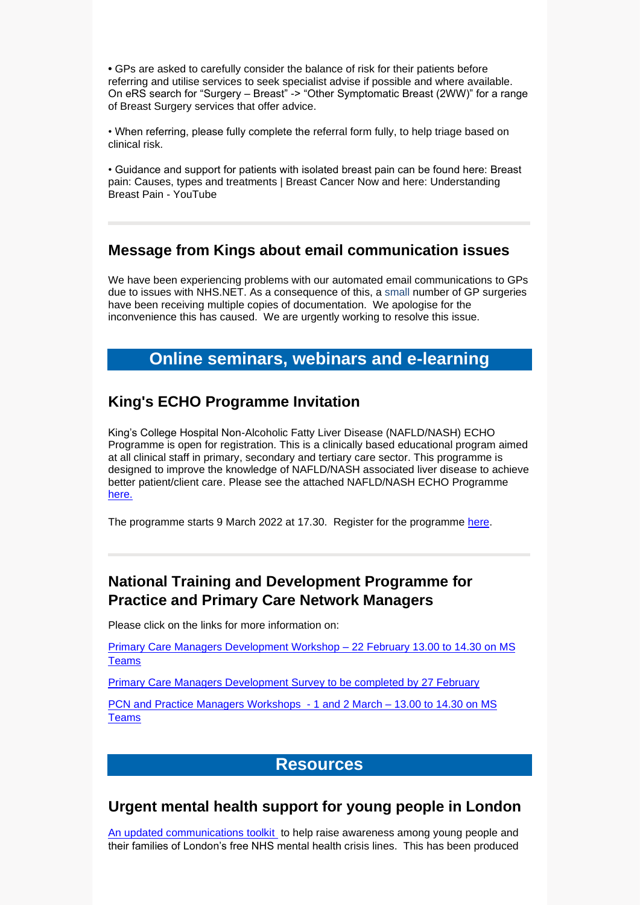**•** GPs are asked to carefully consider the balance of risk for their patients before referring and utilise services to seek specialist advise if possible and where available. On eRS search for "Surgery – Breast" -> "Other Symptomatic Breast (2WW)" for a range of Breast Surgery services that offer advice.

• When referring, please fully complete the referral form fully, to help triage based on clinical risk.

• Guidance and support for patients with isolated breast pain can be found here: Breast pain: Causes, types and treatments | Breast Cancer Now and here: Understanding Breast Pain - YouTube

#### **Message from Kings about email communication issues**

We have been experiencing problems with our automated email communications to GPs due to issues with NHS.NET. As a consequence of this, a small number of GP surgeries have been receiving multiple copies of documentation. We apologise for the inconvenience this has caused. We are urgently working to resolve this issue.

# **Online seminars, webinars and e-learning**

#### **King's ECHO Programme Invitation**

King's College Hospital Non-Alcoholic Fatty Liver Disease (NAFLD/NASH) ECHO Programme is open for registration. This is a clinically based educational program aimed at all clinical staff in primary, secondary and tertiary care sector. This programme is designed to improve the knowledge of NAFLD/NASH associated liver disease to achieve better patient/client care. Please see the attached NAFLD/NASH ECHO Programme [here.](https://selondonccg.nhs.uk/wp-content/uploads/2022/02/NASH-ECHO-Programme.pdf)

The programme starts 9 March 2022 at 17.30. Register for the programme [here.](https://www.surveymonkey.co.uk/r/VJNQC2R)

# **National Training and Development Programme for Practice and Primary Care Network Managers**

Please click on the links for more information on:

[Primary Care Managers Development Workshop –](https://selondonccg.nhs.uk/wp-content/uploads/2022/02/02-Primary-Care-Managers-Development-Workshop-System-Stakeholders.pdf) 22 February 13.00 to 14.30 on MS **[Teams](https://selondonccg.nhs.uk/wp-content/uploads/2022/02/02-Primary-Care-Managers-Development-Workshop-System-Stakeholders.pdf)** 

[Primary Care Managers Development Survey to be completed by 27 February](https://selondonccg.nhs.uk/wp-content/uploads/2022/02/01-Primary-Care-Development-Survey-Workshops-PCN-and-Practice-Managers.pdf)

[PCN and Practice Managers Workshops -](https://selondonccg.nhs.uk/wp-content/uploads/2022/02/02-Primary-Care-Managers-Development-Workshop-System-Stakeholders.pdf) 1 and 2 March – 13.00 to 14.30 on MS [Teams](https://selondonccg.nhs.uk/wp-content/uploads/2022/02/02-Primary-Care-Managers-Development-Workshop-System-Stakeholders.pdf)

## **Resources**

#### **Urgent mental health support for young people in London**

[An updated communications toolkit](https://www.healthylondon.org/urgentsupportlines/) to help raise awareness among young people and their families of London's free NHS mental health crisis lines. This has been produced